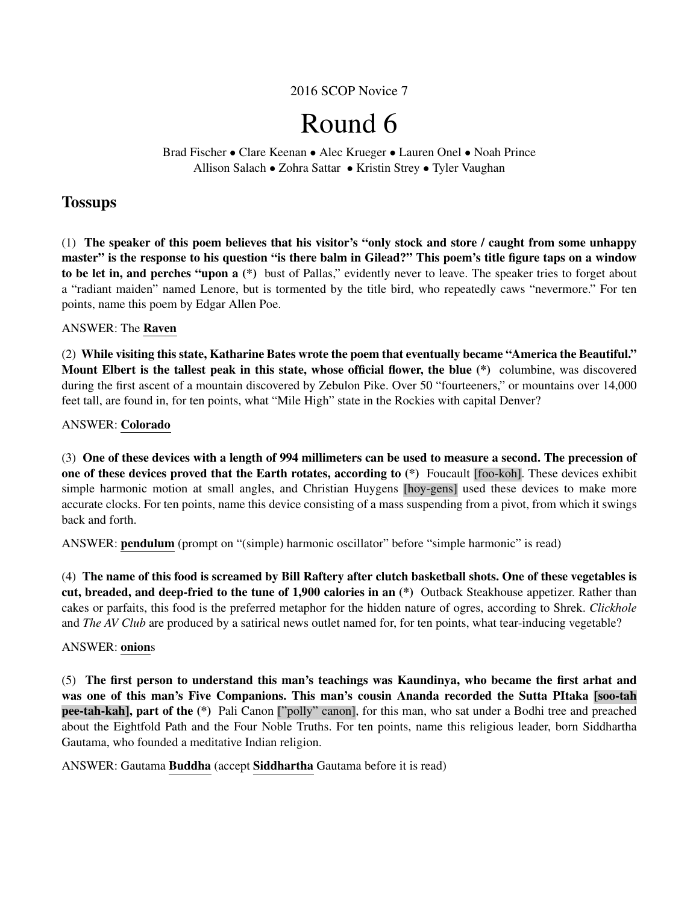2016 SCOP Novice 7

# Round 6

Brad Fischer • Clare Keenan • Alec Krueger • Lauren Onel • Noah Prince Allison Salach • Zohra Sattar • Kristin Strey • Tyler Vaughan

# **Tossups**

(1) The speaker of this poem believes that his visitor's "only stock and store / caught from some unhappy master" is the response to his question "is there balm in Gilead?" This poem's title figure taps on a window to be let in, and perches "upon a (\*) bust of Pallas," evidently never to leave. The speaker tries to forget about a "radiant maiden" named Lenore, but is tormented by the title bird, who repeatedly caws "nevermore." For ten points, name this poem by Edgar Allen Poe.

# ANSWER: The Raven

(2) While visiting this state, Katharine Bates wrote the poem that eventually became "America the Beautiful." Mount Elbert is the tallest peak in this state, whose official flower, the blue (\*) columbine, was discovered during the first ascent of a mountain discovered by Zebulon Pike. Over 50 "fourteeners," or mountains over 14,000 feet tall, are found in, for ten points, what "Mile High" state in the Rockies with capital Denver?

# ANSWER: Colorado

(3) One of these devices with a length of 994 millimeters can be used to measure a second. The precession of one of these devices proved that the Earth rotates, according to (\*) Foucault [foo-koh]. These devices exhibit simple harmonic motion at small angles, and Christian Huygens [hoy-gens] used these devices to make more accurate clocks. For ten points, name this device consisting of a mass suspending from a pivot, from which it swings back and forth.

ANSWER: pendulum (prompt on "(simple) harmonic oscillator" before "simple harmonic" is read)

(4) The name of this food is screamed by Bill Raftery after clutch basketball shots. One of these vegetables is cut, breaded, and deep-fried to the tune of 1,900 calories in an (\*) Outback Steakhouse appetizer. Rather than cakes or parfaits, this food is the preferred metaphor for the hidden nature of ogres, according to Shrek. *Clickhole* and *The AV Club* are produced by a satirical news outlet named for, for ten points, what tear-inducing vegetable?

# ANSWER: onions

(5) The first person to understand this man's teachings was Kaundinya, who became the first arhat and was one of this man's Five Companions. This man's cousin Ananda recorded the Sutta PItaka [soo-tah pee-tah-kah], part of the (\*) Pali Canon ["polly" canon], for this man, who sat under a Bodhi tree and preached about the Eightfold Path and the Four Noble Truths. For ten points, name this religious leader, born Siddhartha Gautama, who founded a meditative Indian religion.

# ANSWER: Gautama Buddha (accept Siddhartha Gautama before it is read)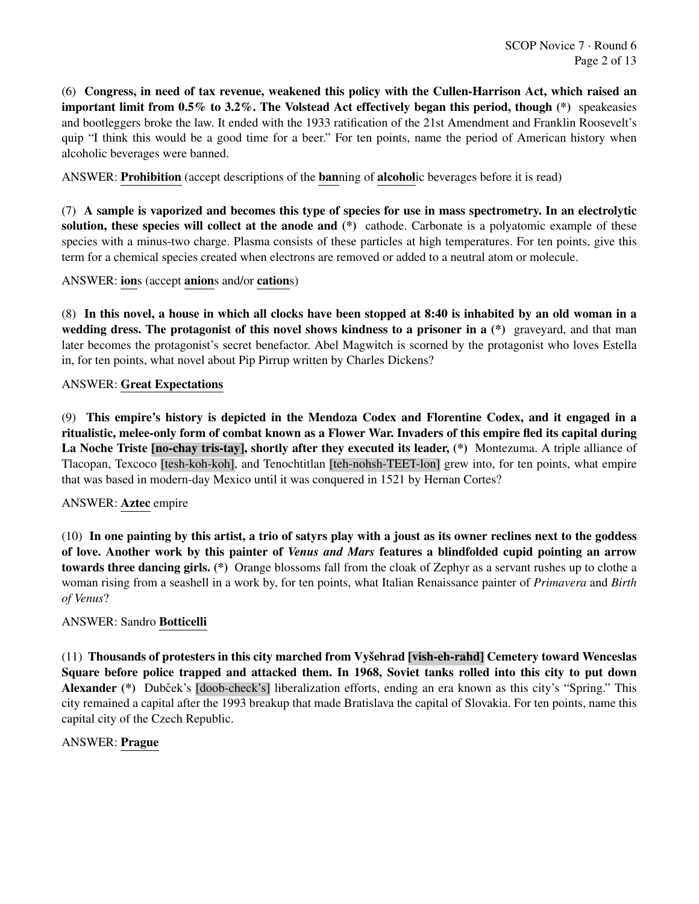(6) Congress, in need of tax revenue, weakened this policy with the Cullen-Harrison Act, which raised an important limit from 0.5% to 3.2%. The Volstead Act effectively began this period, though (\*) speakeasies and bootleggers broke the law. It ended with the 1933 ratification of the 21st Amendment and Franklin Roosevelt's quip "I think this would be a good time for a beer." For ten points, name the period of American history when alcoholic beverages were banned.

ANSWER: Prohibition (accept descriptions of the banning of alcoholic beverages before it is read)

(7) A sample is vaporized and becomes this type of species for use in mass spectrometry. In an electrolytic solution, these species will collect at the anode and (\*) cathode. Carbonate is a polyatomic example of these species with a minus-two charge. Plasma consists of these particles at high temperatures. For ten points, give this term for a chemical species created when electrons are removed or added to a neutral atom or molecule.

ANSWER: ions (accept anions and/or cations)

(8) In this novel, a house in which all clocks have been stopped at 8:40 is inhabited by an old woman in a wedding dress. The protagonist of this novel shows kindness to a prisoner in a  $(*)$  graveyard, and that man later becomes the protagonist's secret benefactor. Abel Magwitch is scorned by the protagonist who loves Estella in, for ten points, what novel about Pip Pirrup written by Charles Dickens?

## ANSWER: Great Expectations

(9) This empire's history is depicted in the Mendoza Codex and Florentine Codex, and it engaged in a ritualistic, melee-only form of combat known as a Flower War. Invaders of this empire fled its capital during La Noche Triste [no-chay tris-tay], shortly after they executed its leader, (\*) Montezuma. A triple alliance of Tlacopan, Texcoco [tesh-koh-koh], and Tenochtitlan [teh-nohsh-TEET-lon] grew into, for ten points, what empire that was based in modern-day Mexico until it was conquered in 1521 by Hernan Cortes?

## ANSWER: Aztec empire

(10) In one painting by this artist, a trio of satyrs play with a joust as its owner reclines next to the goddess of love. Another work by this painter of *Venus and Mars* features a blindfolded cupid pointing an arrow towards three dancing girls. (\*) Orange blossoms fall from the cloak of Zephyr as a servant rushes up to clothe a woman rising from a seashell in a work by, for ten points, what Italian Renaissance painter of *Primavera* and *Birth of Venus*?

## ANSWER: Sandro Botticelli

 $(11)$  Thousands of protesters in this city marched from Vysehrad [vish-eh-rahd] Cemetery toward Wenceslas Square before police trapped and attacked them. In 1968, Soviet tanks rolled into this city to put down Alexander (\*) Dubček's [doob-check's] liberalization efforts, ending an era known as this city's "Spring." This city remained a capital after the 1993 breakup that made Bratislava the capital of Slovakia. For ten points, name this capital city of the Czech Republic.

## ANSWER: Prague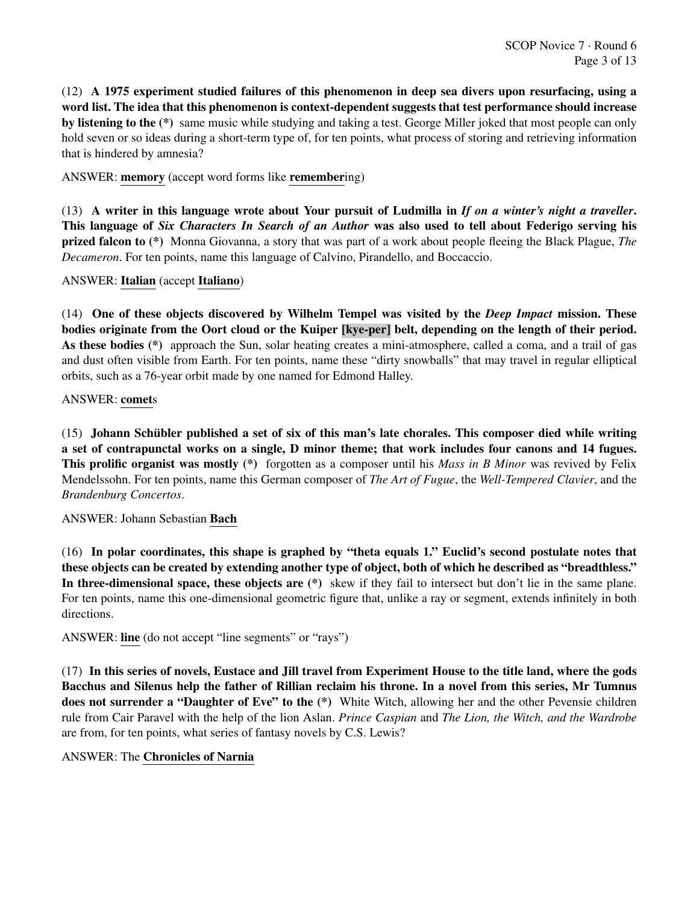(12) A 1975 experiment studied failures of this phenomenon in deep sea divers upon resurfacing, using a word list. The idea that this phenomenon is context-dependent suggests that test performance should increase by listening to the (\*) same music while studying and taking a test. George Miller joked that most people can only hold seven or so ideas during a short-term type of, for ten points, what process of storing and retrieving information that is hindered by amnesia?

ANSWER: memory (accept word forms like remembering)

(13) A writer in this language wrote about Your pursuit of Ludmilla in *If on a winter's night a traveller*. This language of *Six Characters In Search of an Author* was also used to tell about Federigo serving his prized falcon to (\*) Monna Giovanna, a story that was part of a work about people fleeing the Black Plague, *The Decameron*. For ten points, name this language of Calvino, Pirandello, and Boccaccio.

## ANSWER: Italian (accept Italiano)

(14) One of these objects discovered by Wilhelm Tempel was visited by the *Deep Impact* mission. These bodies originate from the Oort cloud or the Kuiper [kye-per] belt, depending on the length of their period. As these bodies (\*) approach the Sun, solar heating creates a mini-atmosphere, called a coma, and a trail of gas and dust often visible from Earth. For ten points, name these "dirty snowballs" that may travel in regular elliptical orbits, such as a 76-year orbit made by one named for Edmond Halley.

## ANSWER: comets

 $(15)$  Johann Schübler published a set of six of this man's late chorales. This composer died while writing a set of contrapunctal works on a single, D minor theme; that work includes four canons and 14 fugues. This prolific organist was mostly (\*) forgotten as a composer until his *Mass in B Minor* was revived by Felix Mendelssohn. For ten points, name this German composer of *The Art of Fugue*, the *Well-Tempered Clavier*, and the *Brandenburg Concertos*.

## ANSWER: Johann Sebastian Bach

(16) In polar coordinates, this shape is graphed by "theta equals 1." Euclid's second postulate notes that these objects can be created by extending another type of object, both of which he described as "breadthless." In three-dimensional space, these objects are  $(*)$  skew if they fail to intersect but don't lie in the same plane. For ten points, name this one-dimensional geometric figure that, unlike a ray or segment, extends infinitely in both directions.

ANSWER: line (do not accept "line segments" or "rays")

(17) In this series of novels, Eustace and Jill travel from Experiment House to the title land, where the gods Bacchus and Silenus help the father of Rillian reclaim his throne. In a novel from this series, Mr Tumnus does not surrender a "Daughter of Eve" to the  $(*)$  White Witch, allowing her and the other Pevensie children rule from Cair Paravel with the help of the lion Aslan. *Prince Caspian* and *The Lion, the Witch, and the Wardrobe* are from, for ten points, what series of fantasy novels by C.S. Lewis?

## ANSWER: The Chronicles of Narnia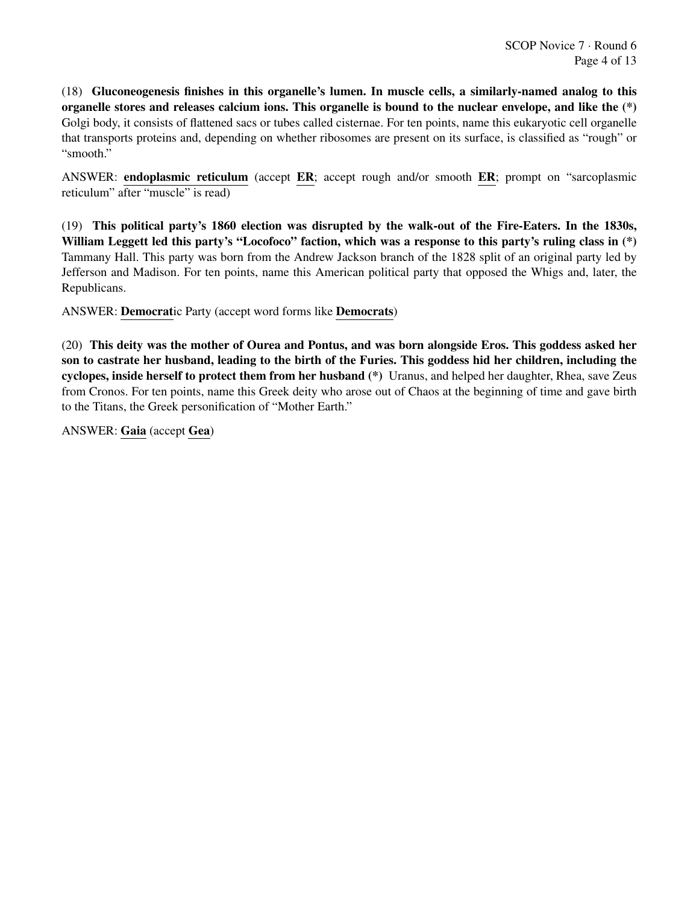(18) Gluconeogenesis finishes in this organelle's lumen. In muscle cells, a similarly-named analog to this organelle stores and releases calcium ions. This organelle is bound to the nuclear envelope, and like the (\*) Golgi body, it consists of flattened sacs or tubes called cisternae. For ten points, name this eukaryotic cell organelle that transports proteins and, depending on whether ribosomes are present on its surface, is classified as "rough" or "smooth."

ANSWER: endoplasmic reticulum (accept ER; accept rough and/or smooth ER; prompt on "sarcoplasmic reticulum" after "muscle" is read)

(19) This political party's 1860 election was disrupted by the walk-out of the Fire-Eaters. In the 1830s, William Leggett led this party's "Locofoco" faction, which was a response to this party's ruling class in (\*) Tammany Hall. This party was born from the Andrew Jackson branch of the 1828 split of an original party led by Jefferson and Madison. For ten points, name this American political party that opposed the Whigs and, later, the Republicans.

ANSWER: Democratic Party (accept word forms like Democrats)

(20) This deity was the mother of Ourea and Pontus, and was born alongside Eros. This goddess asked her son to castrate her husband, leading to the birth of the Furies. This goddess hid her children, including the cyclopes, inside herself to protect them from her husband (\*) Uranus, and helped her daughter, Rhea, save Zeus from Cronos. For ten points, name this Greek deity who arose out of Chaos at the beginning of time and gave birth to the Titans, the Greek personification of "Mother Earth."

ANSWER: Gaia (accept Gea)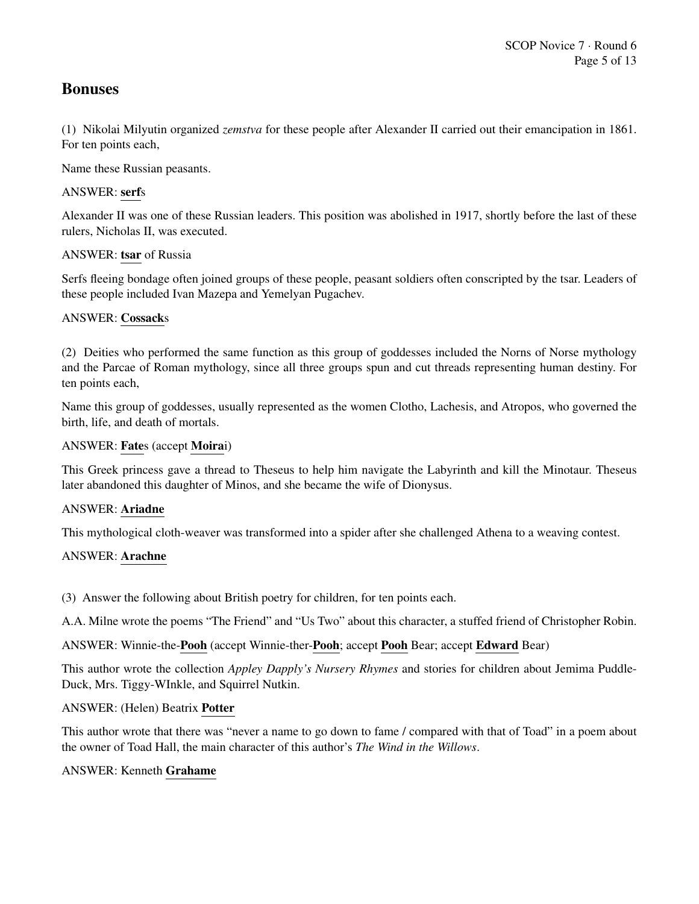# Bonuses

(1) Nikolai Milyutin organized *zemstva* for these people after Alexander II carried out their emancipation in 1861. For ten points each,

Name these Russian peasants.

# ANSWER: serfs

Alexander II was one of these Russian leaders. This position was abolished in 1917, shortly before the last of these rulers, Nicholas II, was executed.

# ANSWER: tsar of Russia

Serfs fleeing bondage often joined groups of these people, peasant soldiers often conscripted by the tsar. Leaders of these people included Ivan Mazepa and Yemelyan Pugachev.

## ANSWER: Cossacks

(2) Deities who performed the same function as this group of goddesses included the Norns of Norse mythology and the Parcae of Roman mythology, since all three groups spun and cut threads representing human destiny. For ten points each,

Name this group of goddesses, usually represented as the women Clotho, Lachesis, and Atropos, who governed the birth, life, and death of mortals.

## ANSWER: Fates (accept Moirai)

This Greek princess gave a thread to Theseus to help him navigate the Labyrinth and kill the Minotaur. Theseus later abandoned this daughter of Minos, and she became the wife of Dionysus.

## ANSWER: Ariadne

This mythological cloth-weaver was transformed into a spider after she challenged Athena to a weaving contest.

# ANSWER: Arachne

(3) Answer the following about British poetry for children, for ten points each.

A.A. Milne wrote the poems "The Friend" and "Us Two" about this character, a stuffed friend of Christopher Robin.

ANSWER: Winnie-the-Pooh (accept Winnie-ther-Pooh; accept Pooh Bear; accept Edward Bear)

This author wrote the collection *Appley Dapply's Nursery Rhymes* and stories for children about Jemima Puddle-Duck, Mrs. Tiggy-WInkle, and Squirrel Nutkin.

## ANSWER: (Helen) Beatrix Potter

This author wrote that there was "never a name to go down to fame / compared with that of Toad" in a poem about the owner of Toad Hall, the main character of this author's *The Wind in the Willows*.

## ANSWER: Kenneth Grahame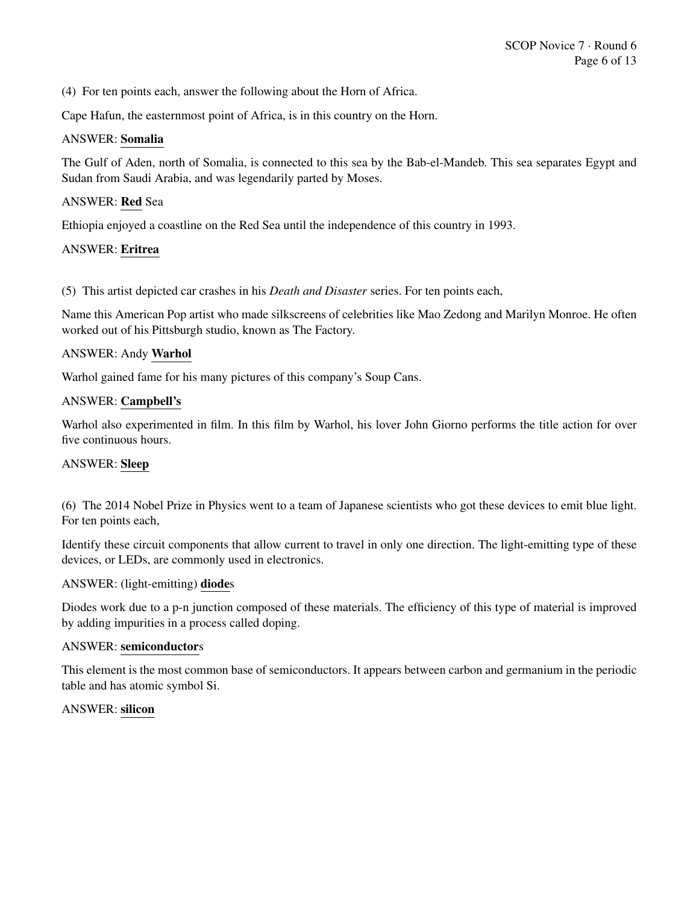(4) For ten points each, answer the following about the Horn of Africa.

Cape Hafun, the easternmost point of Africa, is in this country on the Horn.

#### ANSWER: Somalia

The Gulf of Aden, north of Somalia, is connected to this sea by the Bab-el-Mandeb. This sea separates Egypt and Sudan from Saudi Arabia, and was legendarily parted by Moses.

## ANSWER: Red Sea

Ethiopia enjoyed a coastline on the Red Sea until the independence of this country in 1993.

#### ANSWER: Eritrea

(5) This artist depicted car crashes in his *Death and Disaster* series. For ten points each,

Name this American Pop artist who made silkscreens of celebrities like Mao Zedong and Marilyn Monroe. He often worked out of his Pittsburgh studio, known as The Factory.

#### ANSWER: Andy Warhol

Warhol gained fame for his many pictures of this company's Soup Cans.

#### ANSWER: Campbell's

Warhol also experimented in film. In this film by Warhol, his lover John Giorno performs the title action for over five continuous hours.

## ANSWER: Sleep

(6) The 2014 Nobel Prize in Physics went to a team of Japanese scientists who got these devices to emit blue light. For ten points each,

Identify these circuit components that allow current to travel in only one direction. The light-emitting type of these devices, or LEDs, are commonly used in electronics.

#### ANSWER: (light-emitting) diodes

Diodes work due to a p-n junction composed of these materials. The efficiency of this type of material is improved by adding impurities in a process called doping.

## ANSWER: semiconductors

This element is the most common base of semiconductors. It appears between carbon and germanium in the periodic table and has atomic symbol Si.

## ANSWER: silicon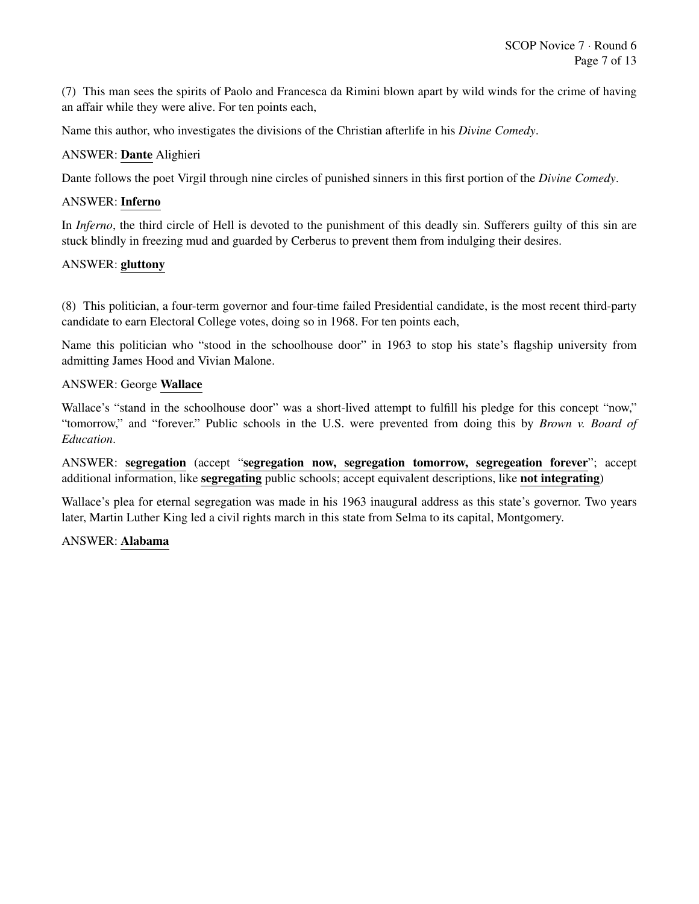(7) This man sees the spirits of Paolo and Francesca da Rimini blown apart by wild winds for the crime of having an affair while they were alive. For ten points each,

Name this author, who investigates the divisions of the Christian afterlife in his *Divine Comedy*.

#### ANSWER: Dante Alighieri

Dante follows the poet Virgil through nine circles of punished sinners in this first portion of the *Divine Comedy*.

#### ANSWER: Inferno

In *Inferno*, the third circle of Hell is devoted to the punishment of this deadly sin. Sufferers guilty of this sin are stuck blindly in freezing mud and guarded by Cerberus to prevent them from indulging their desires.

#### ANSWER: gluttony

(8) This politician, a four-term governor and four-time failed Presidential candidate, is the most recent third-party candidate to earn Electoral College votes, doing so in 1968. For ten points each,

Name this politician who "stood in the schoolhouse door" in 1963 to stop his state's flagship university from admitting James Hood and Vivian Malone.

#### ANSWER: George Wallace

Wallace's "stand in the schoolhouse door" was a short-lived attempt to fulfill his pledge for this concept "now," "tomorrow," and "forever." Public schools in the U.S. were prevented from doing this by *Brown v. Board of Education*.

ANSWER: segregation (accept "segregation now, segregation tomorrow, segregeation forever"; accept additional information, like segregating public schools; accept equivalent descriptions, like not integrating)

Wallace's plea for eternal segregation was made in his 1963 inaugural address as this state's governor. Two years later, Martin Luther King led a civil rights march in this state from Selma to its capital, Montgomery.

#### ANSWER: Alabama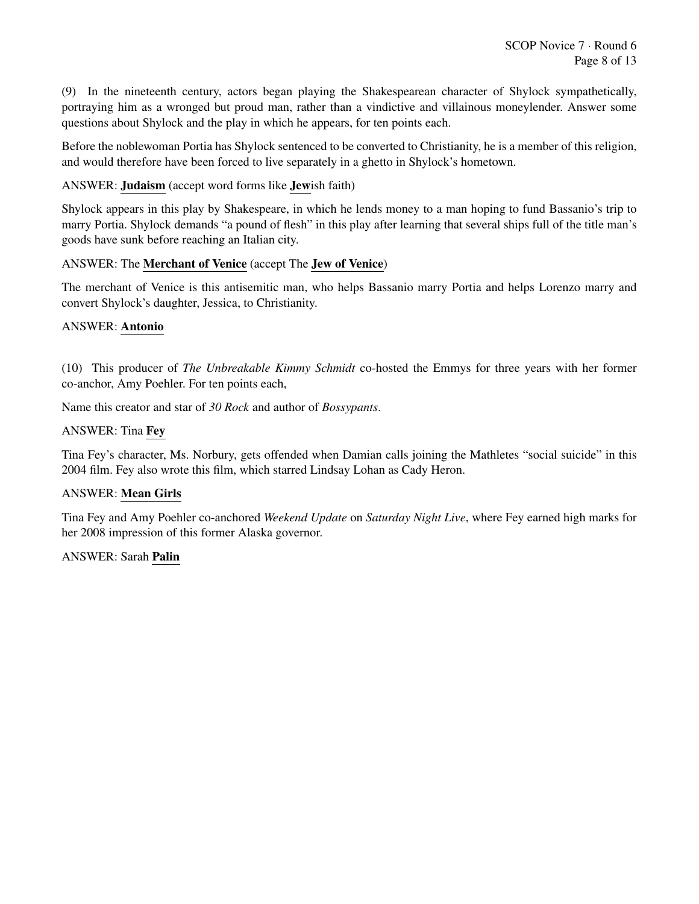(9) In the nineteenth century, actors began playing the Shakespearean character of Shylock sympathetically, portraying him as a wronged but proud man, rather than a vindictive and villainous moneylender. Answer some questions about Shylock and the play in which he appears, for ten points each.

Before the noblewoman Portia has Shylock sentenced to be converted to Christianity, he is a member of this religion, and would therefore have been forced to live separately in a ghetto in Shylock's hometown.

ANSWER: Judaism (accept word forms like Jewish faith)

Shylock appears in this play by Shakespeare, in which he lends money to a man hoping to fund Bassanio's trip to marry Portia. Shylock demands "a pound of flesh" in this play after learning that several ships full of the title man's goods have sunk before reaching an Italian city.

#### ANSWER: The Merchant of Venice (accept The Jew of Venice)

The merchant of Venice is this antisemitic man, who helps Bassanio marry Portia and helps Lorenzo marry and convert Shylock's daughter, Jessica, to Christianity.

## ANSWER: Antonio

(10) This producer of *The Unbreakable Kimmy Schmidt* co-hosted the Emmys for three years with her former co-anchor, Amy Poehler. For ten points each,

Name this creator and star of *30 Rock* and author of *Bossypants*.

#### ANSWER: Tina Fey

Tina Fey's character, Ms. Norbury, gets offended when Damian calls joining the Mathletes "social suicide" in this 2004 film. Fey also wrote this film, which starred Lindsay Lohan as Cady Heron.

#### ANSWER: Mean Girls

Tina Fey and Amy Poehler co-anchored *Weekend Update* on *Saturday Night Live*, where Fey earned high marks for her 2008 impression of this former Alaska governor.

#### ANSWER: Sarah Palin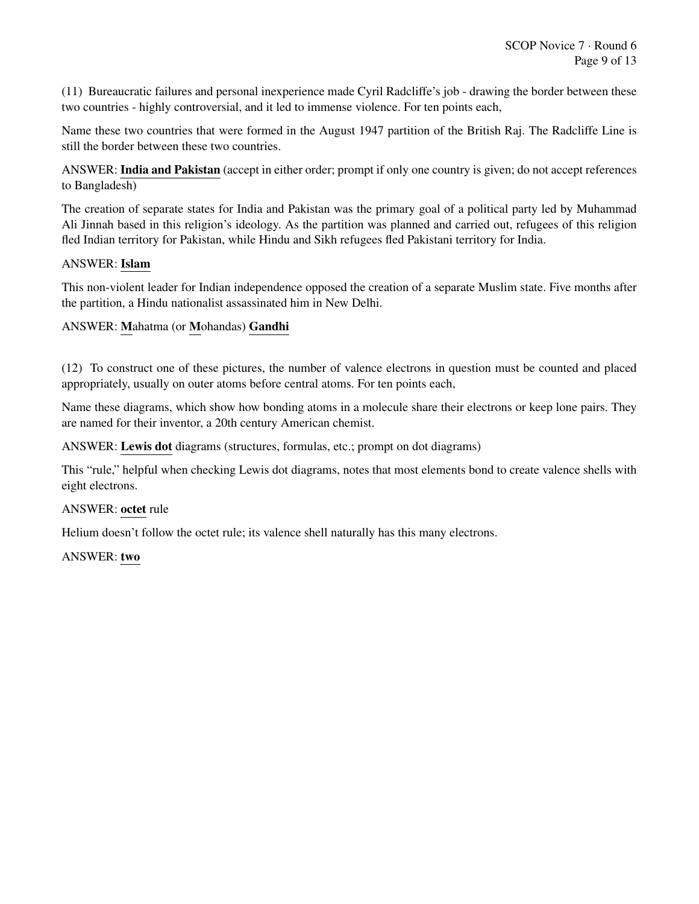(11) Bureaucratic failures and personal inexperience made Cyril Radcliffe's job - drawing the border between these two countries - highly controversial, and it led to immense violence. For ten points each,

Name these two countries that were formed in the August 1947 partition of the British Raj. The Radcliffe Line is still the border between these two countries.

ANSWER: India and Pakistan (accept in either order; prompt if only one country is given; do not accept references to Bangladesh)

The creation of separate states for India and Pakistan was the primary goal of a political party led by Muhammad Ali Jinnah based in this religion's ideology. As the partition was planned and carried out, refugees of this religion fled Indian territory for Pakistan, while Hindu and Sikh refugees fled Pakistani territory for India.

#### ANSWER: Islam

This non-violent leader for Indian independence opposed the creation of a separate Muslim state. Five months after the partition, a Hindu nationalist assassinated him in New Delhi.

## ANSWER: Mahatma (or Mohandas) Gandhi

(12) To construct one of these pictures, the number of valence electrons in question must be counted and placed appropriately, usually on outer atoms before central atoms. For ten points each,

Name these diagrams, which show how bonding atoms in a molecule share their electrons or keep lone pairs. They are named for their inventor, a 20th century American chemist.

ANSWER: Lewis dot diagrams (structures, formulas, etc.; prompt on dot diagrams)

This "rule," helpful when checking Lewis dot diagrams, notes that most elements bond to create valence shells with eight electrons.

#### ANSWER: octet rule

Helium doesn't follow the octet rule; its valence shell naturally has this many electrons.

#### ANSWER: two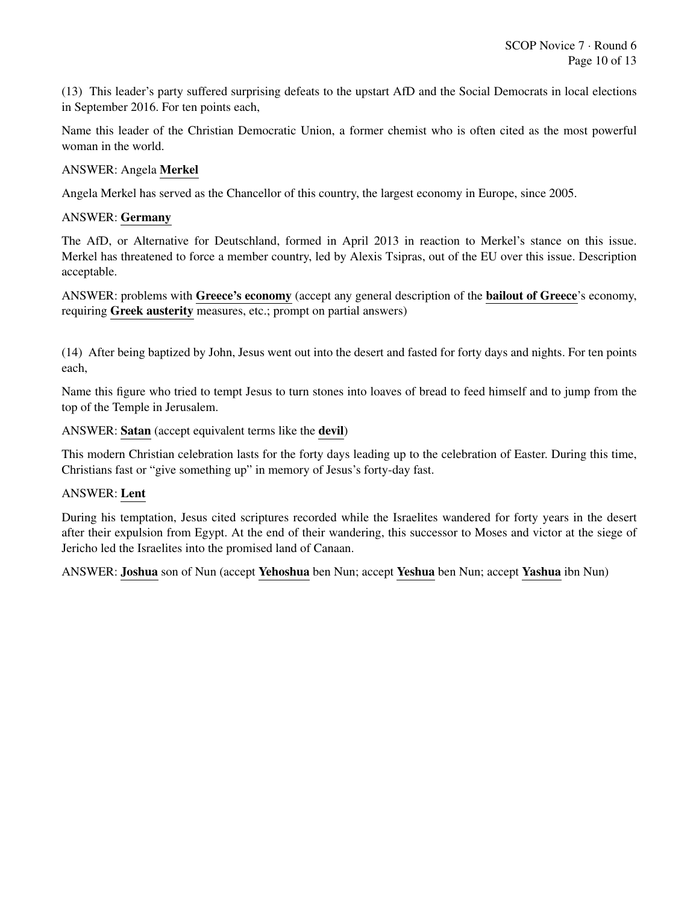(13) This leader's party suffered surprising defeats to the upstart AfD and the Social Democrats in local elections in September 2016. For ten points each,

Name this leader of the Christian Democratic Union, a former chemist who is often cited as the most powerful woman in the world.

ANSWER: Angela Merkel

Angela Merkel has served as the Chancellor of this country, the largest economy in Europe, since 2005.

## ANSWER: Germany

The AfD, or Alternative for Deutschland, formed in April 2013 in reaction to Merkel's stance on this issue. Merkel has threatened to force a member country, led by Alexis Tsipras, out of the EU over this issue. Description acceptable.

ANSWER: problems with Greece's economy (accept any general description of the bailout of Greece's economy, requiring Greek austerity measures, etc.; prompt on partial answers)

(14) After being baptized by John, Jesus went out into the desert and fasted for forty days and nights. For ten points each,

Name this figure who tried to tempt Jesus to turn stones into loaves of bread to feed himself and to jump from the top of the Temple in Jerusalem.

ANSWER: Satan (accept equivalent terms like the devil)

This modern Christian celebration lasts for the forty days leading up to the celebration of Easter. During this time, Christians fast or "give something up" in memory of Jesus's forty-day fast.

#### ANSWER: Lent

During his temptation, Jesus cited scriptures recorded while the Israelites wandered for forty years in the desert after their expulsion from Egypt. At the end of their wandering, this successor to Moses and victor at the siege of Jericho led the Israelites into the promised land of Canaan.

ANSWER: Joshua son of Nun (accept Yehoshua ben Nun; accept Yeshua ben Nun; accept Yashua ibn Nun)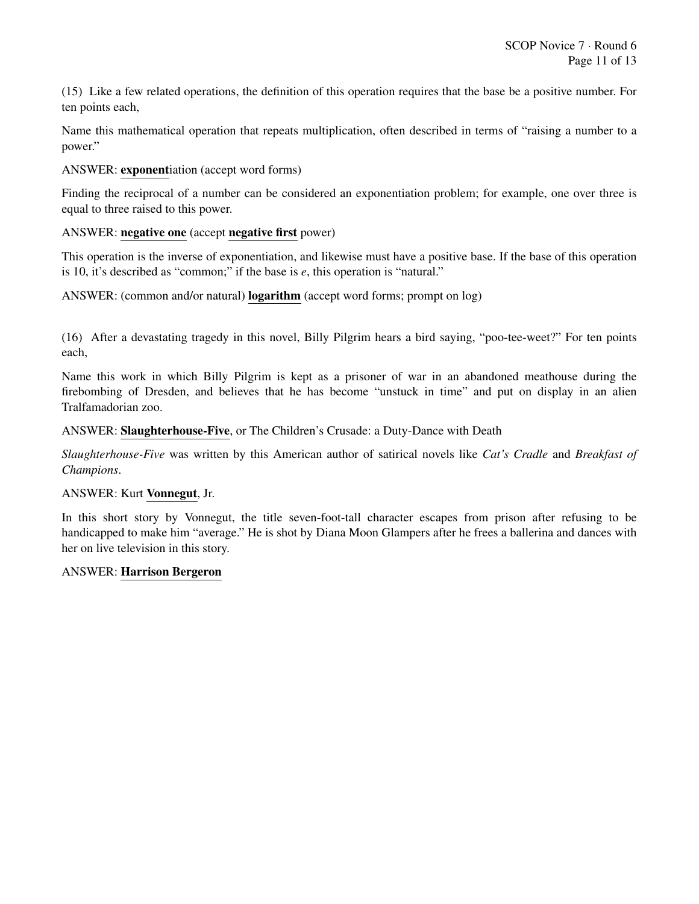(15) Like a few related operations, the definition of this operation requires that the base be a positive number. For ten points each,

Name this mathematical operation that repeats multiplication, often described in terms of "raising a number to a power."

ANSWER: exponentiation (accept word forms)

Finding the reciprocal of a number can be considered an exponentiation problem; for example, one over three is equal to three raised to this power.

## ANSWER: negative one (accept negative first power)

This operation is the inverse of exponentiation, and likewise must have a positive base. If the base of this operation is 10, it's described as "common;" if the base is *e*, this operation is "natural."

ANSWER: (common and/or natural) logarithm (accept word forms; prompt on log)

(16) After a devastating tragedy in this novel, Billy Pilgrim hears a bird saying, "poo-tee-weet?" For ten points each,

Name this work in which Billy Pilgrim is kept as a prisoner of war in an abandoned meathouse during the firebombing of Dresden, and believes that he has become "unstuck in time" and put on display in an alien Tralfamadorian zoo.

ANSWER: Slaughterhouse-Five, or The Children's Crusade: a Duty-Dance with Death

*Slaughterhouse-Five* was written by this American author of satirical novels like *Cat's Cradle* and *Breakfast of Champions*.

#### ANSWER: Kurt Vonnegut, Jr.

In this short story by Vonnegut, the title seven-foot-tall character escapes from prison after refusing to be handicapped to make him "average." He is shot by Diana Moon Glampers after he frees a ballerina and dances with her on live television in this story.

#### ANSWER: Harrison Bergeron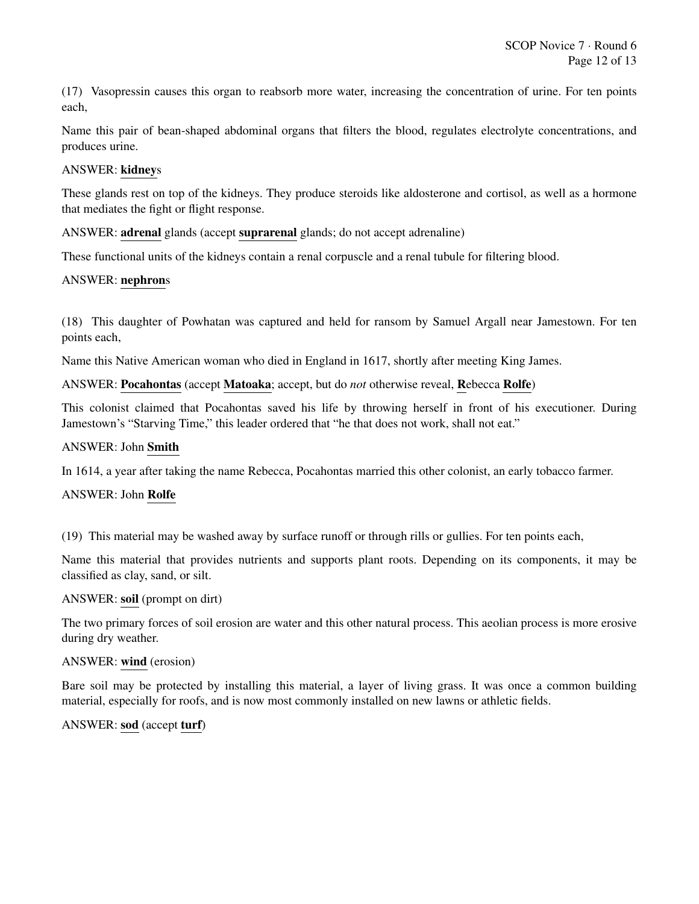(17) Vasopressin causes this organ to reabsorb more water, increasing the concentration of urine. For ten points each,

Name this pair of bean-shaped abdominal organs that filters the blood, regulates electrolyte concentrations, and produces urine.

## ANSWER: kidneys

These glands rest on top of the kidneys. They produce steroids like aldosterone and cortisol, as well as a hormone that mediates the fight or flight response.

ANSWER: adrenal glands (accept suprarenal glands; do not accept adrenaline)

These functional units of the kidneys contain a renal corpuscle and a renal tubule for filtering blood.

#### ANSWER: nephrons

(18) This daughter of Powhatan was captured and held for ransom by Samuel Argall near Jamestown. For ten points each,

Name this Native American woman who died in England in 1617, shortly after meeting King James.

#### ANSWER: Pocahontas (accept Matoaka; accept, but do *not* otherwise reveal, Rebecca Rolfe)

This colonist claimed that Pocahontas saved his life by throwing herself in front of his executioner. During Jamestown's "Starving Time," this leader ordered that "he that does not work, shall not eat."

#### ANSWER: John Smith

In 1614, a year after taking the name Rebecca, Pocahontas married this other colonist, an early tobacco farmer.

#### ANSWER: John Rolfe

(19) This material may be washed away by surface runoff or through rills or gullies. For ten points each,

Name this material that provides nutrients and supports plant roots. Depending on its components, it may be classified as clay, sand, or silt.

#### ANSWER: soil (prompt on dirt)

The two primary forces of soil erosion are water and this other natural process. This aeolian process is more erosive during dry weather.

#### ANSWER: wind (erosion)

Bare soil may be protected by installing this material, a layer of living grass. It was once a common building material, especially for roofs, and is now most commonly installed on new lawns or athletic fields.

## ANSWER: sod (accept turf)